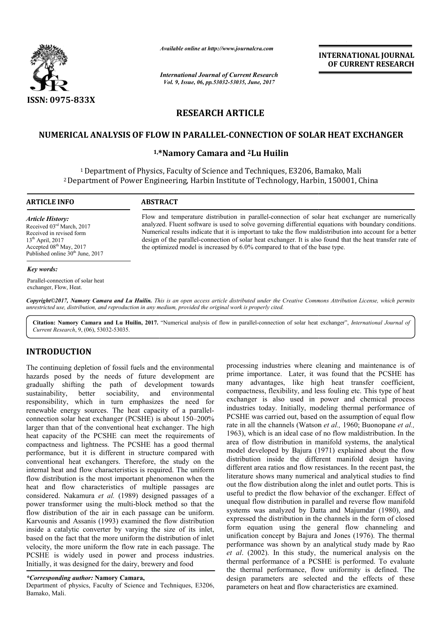

*Available online at http://www.journalcra.com*

*International Journal of Current Research Vol. 9, Issue, 06, pp.53032-53035, June, 2017*

**INTERNATIONAL JOURNAL OF CURRENT RESEARCH** 

# **RESEARCH ARTICLE**

## <code>NUMERICAL</code> ANALYSIS OF FLOW IN PARALLEL-CONNECTION OF SOLAR HEAT EXCHANGER

## **1,\* \*Namory Camara and 2Lu Huilin**

<sup>1</sup> Department of Physics, Faculty of Science and Techniques, E3206, Bamako, Mali <sup>1</sup> Department of Physics, Faculty of Science and Techniques, E3206, Bamako, Mali<br><sup>2</sup> Department of Power Engineering, Harbin Institute of Technology, Harbin, 150001, China

### **ARTICLE INFO ABSTRACT**

*Article History:* Received 03rd March, 2017 Received in revised form 13th April, 2017 Accepted 08<sup>th</sup> May, 2017 Published online 30<sup>th</sup> June, 2017

Flow and temperature distribution in parallel-connection of solar heat exchanger are numerically analyzed. Fluent software is used to solve governing differential equations with boundary conditions. Numerical results indicate that it is important to take the flow maldistribution into account for a better design of the parallel-connection of solar heat exchanger. It is also found that the heat transfer rate of the optimized model is increased by 6.0% compared to that of the base type. Flow and temperature distribution in parallel-connection of solar heat exchanger are num<br>analyzed. Fluent software is used to solve governing differential equations with boundary con<br>Numerical results indicate that it is i

#### *Key words:*

Parallel-connection of solar heat exchanger, Flow, Heat.

Copyright©2017, Namory Camara and Lu Huilin. This is an open access article distributed under the Creative Commons Attribution License, which permits *unrestricted use, distribution, and reproduction in any medium, provided the original work is properly cited.*

Citation: Namory Camara and Lu Huilin, 2017. "Numerical analysis of flow in parallel-connection of solar heat exchanger", *International Journal of Current Research*, 9, (06), 53032-53035.

## **INTRODUCTION**

The continuing depletion of fossil fuels and the environmental hazards posed by the needs of future development are gradually shifting the path of development towards sustainability, better sociability, and environmental responsibility, which in turn emphasizes the need for gradually shifting the path of development towards<br>sustainability, better sociability, and environmental<br>responsibility, which in turn emphasizes the need for<br>renewable energy sources. The heat capacity of a parallelconnection solar heat exchanger (PCSHE) is about 150 150–200% larger than that of the conventional heat exchanger. The high heat capacity of the PCSHE can meet the requirements of compactness and lightness. The PCSHE has a g good thermal performance, but it is different in structure compared with conventional heat exchangers. Therefore, the study on the internal heat and flow characteristics is required. The uniform flow distribution is the most important phenomenon when the heat and flow characteristics of multiple passages are considered. Nakamura *et al.* (1989) designed passages of a power transformer using the multi-block method so that the flow distribution of the air in each passage can be uniform. Karvounis and Assanis (1993) examined the flow distribution inside a catalytic converter by varying the size of its inlet, based on the fact that the more uniform the distribution of inlet velocity, the more uniform the flow rate in each passage. The PCSHE is widely used in power and process industries. Initially, it was designed for the dairy, brewery and food

#### *\*Corresponding author:* **Namory Camara,**

Department of physics, Faculty of Science and Techniques, E3206, Bamako, Mali.

is econinuing depletion of fossil fuels and the environmental processing industries where cleaning and maintenance is of fuels of fuels of fuel encarries where cleaning and antichance is of fuels of fuels of the medical p prime importance. Later, it was found that the PCSHE has many advantages, like high heat transfer coefficient, compactness, flexibility, and less fouling etc. This type of heat exchanger is also used in power and chemical process industries today. Initially, modeling thermal performance of PCSHE was carried out, based on the assumption of equal flow rate in all the channels (Watson et al., 1960; Buonopane et al., 1963), which is an ideal case of no flow maldistribution. In the area of flow distribution in manifold systems, the analytical model developed by Bajura (1971) explained about the flow distribution inside the different manifold design having distribution inside the different manifold design having different area ratios and flow resistances. In the recent past, the literature shows many numerical and analytical studies to find out the flow distribution along the inlet and outlet ports. This is literature shows many numerical and analytical studies to find<br>out the flow distribution along the inlet and outlet ports. This is<br>useful to predict the flow behavior of the exchanger. Effect of unequal flow distribution in parallel and reverse flow manifold systems was analyzed by Datta and Majumdar (1980), and expressed the distribution in the channels in the form of closed form equation using the general flow channeling and unification concept by Bajura and Jones (1976). The thermal performance was shown by an analytical study made by Rao *et al*. (2002). In this study, the numerical analysis on the thermal performance of a PCSHE is performed. To evaluate the thermal performance, flow uniformity is defined. The design parameters are selected and the effects of these parameters on heat and flow characteristics are examined. sing industries where cleaning and maintenance is of importance. Later, it was found that the PCSHE has advantages, like high heat transfer coefficient, ctness, flexibility, and less fouling etc. This type of heat ger is a rformance was shown by an analytical study made by *al.* (2002). In this study, the numerical analysis on ermal performance of a PCSHE is performed. To eval **INTERNATIONAL JOURNAL (OF CURRENT RESEARCH (OF CURRENT RESEARCH (OF CURRENT RESEARCH (OF CURRENT RESEARCH (A) (A)**<br> **Contains a** solar heat exchanger are numericall all equations with boundary conditions<br>
and all equation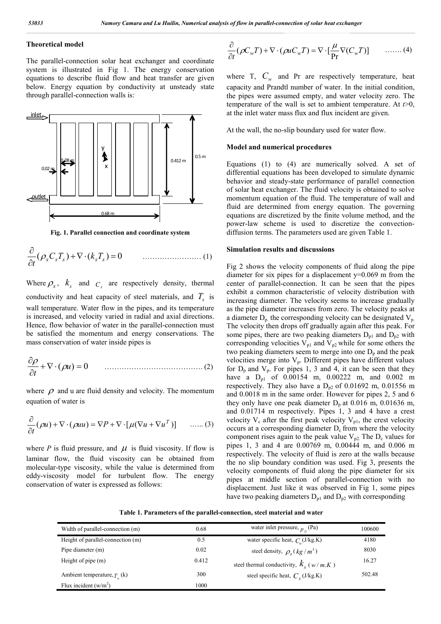### **Theoretical model**

The parallel-connection solar heat exchanger and coordinate system is illustrated in Fig 1. The energy conservation equations to describe fluid flow and heat transfer are given below. Energy equation by conductivity at unsteady state through parallel-connection walls is:



**Fig. 1. Parallel connection and coordinate system**

( ) ( ) 0 *<sup>s</sup> <sup>s</sup> <sup>s</sup> sTs C T k <sup>t</sup>* …………………… (1)

Where  $\rho_s$ ,  $k_s$  and  $c_s$  are respectively density, thermal conductivity and heat capacity of steel materials, and  $T<sub>s</sub>$  is wall temperature. Water flow in the pipes, and its temperature is increased, and velocity varied in radial and axial directions. Hence, flow behavior of water in the parallel-connection must be satisfied the momentum and energy conservations. The mass conservation of water inside pipes is

$$
\frac{\partial \rho}{\partial t} + \nabla \cdot (\rho u) = 0 \qquad \qquad (2)
$$

where  $\rho$  and u are fluid density and velocity. The momentum equation of water is

$$
\frac{\partial}{\partial t}(\rho u) + \nabla \cdot (\rho u u) = \nabla P + \nabla \cdot [\mu (\nabla u + \nabla u^T)] \qquad \dots \dots (3)
$$

where *P* is fluid pressure, and  $\mu$  is fluid viscosity. If flow is laminar flow, the fluid viscosity can be obtained from molecular-type viscosity, while the value is determined from eddy-viscosity model for turbulent flow. The energy conservation of water is expressed as follows:

$$
\frac{\partial}{\partial t}(\rho C_w T) + \nabla \cdot (\rho u C_w T) = \nabla \cdot \left[ \frac{\mu}{\text{Pr}} \nabla (C_w T) \right] \qquad \dots \dots \tag{4}
$$

where T,  $C_w$  and Pr are respectively temperature, heat capacity and Prandtl number of water. In the initial condition, the pipes were assumed empty, and water velocity zero. The temperature of the wall is set to ambient temperature. At *t*>0, at the inlet water mass flux and flux incident are given.

At the wall, the no-slip boundary used for water flow.

#### **Model and numerical procedures**

Equations (1) to (4) are numerically solved. A set of differential equations has been developed to simulate dynamic behavior and steady-state performance of parallel connection of solar heat exchanger. The fluid velocity is obtained to solve momentum equation of the fluid. The temperature of wall and fluid are determined from energy equation. The governing equations are discretized by the finite volume method, and the power-law scheme is used to discretize the convectiondiffusion terms. The parameters used are given Table 1.

#### **Simulation results and discussions**

Fig 2 shows the velocity components of fluid along the pipe diameter for six pipes for a displacement  $y=0.069$  m from the center of parallel-connection. It can be seen that the pipes exhibit a common characteristic of velocity distribution with increasing diameter. The velocity seems to increase gradually as the pipe diameter increases from zero. The velocity peaks at a diameter  $D_p$ , the corresponding velocity can be designated  $V_p$ . The velocity then drops off gradually again after this peak. For some pipes, there are two peaking diameters  $D_{p1}$  and  $D_{p2}$  with corresponding velocities  $V_{p1}$  and  $V_{p2}$  while for some others the two peaking diameters seem to merge into one  $D_p$  and the peak velocities merge into  $V_p$ . Different pipes have different values for  $D_p$  and  $V_p$ . For pipes 1, 3 and 4, it can be seen that they have a  $D_{p1}$  of 0.00154 m, 0.00222 m, and 0.002 m respectively. They also have a  $D_{p2}$  of 0.01692 m, 0.01556 m and 0.0018 m in the same order. However for pipes 2, 5 and 6 they only have one peak diameter  $D_n$  at 0.016 m, 0.01636 m, and 0.01714 m respectively. Pipes 1, 3 and 4 have a crest velocity  $V_c$  after the first peak velocity  $V_{p1}$ , the crest velocity occurs at a corresponding diameter  $D_c$  from where the velocity component rises again to the peak value  $V_{p2}$ . The  $D_c$  values for pipes 1, 3 and 4 are 0.00769 m, 0.00444 m, and 0.006 m respectively. The velocity of fluid is zero at the walls because the no slip boundary condition was used. Fig 3, presents the velocity components of fluid along the pipe diameter for six pipes at middle section of parallel-connection with no displacement. Just like it was observed in Fig 1, some pipes have two peaking diameters  $D_{p1}$  and  $D_{p2}$  with corresponding

**Table 1. Parameters of the parallel-connection, steel material and water**

| Width of parallel-connection (m)   | 0.68  | water inlet pressure, $p_e$ (Pa)                              | 100600 |
|------------------------------------|-------|---------------------------------------------------------------|--------|
| Height of parallel-connection (m)  | 0.5   | water specific heat, $C_u$ (J/kg.K)                           | 4180   |
| Pipe diameter (m)                  | 0.02  | steel density, $\rho_s (kg/m^3)$                              | 8030   |
| Height of pipe $(m)$               | 0.412 | steel thermal conductivity, $k_{s}$ ( <i>w</i> / <i>m,K</i> ) | 16.27  |
| Ambient temperature, $T_{\mu}$ (k) | 300   | steel specific heat, $C_c$ (J/kg.K)                           | 502.48 |
| Flux incident $(w/m^2)$            | 1000  |                                                               |        |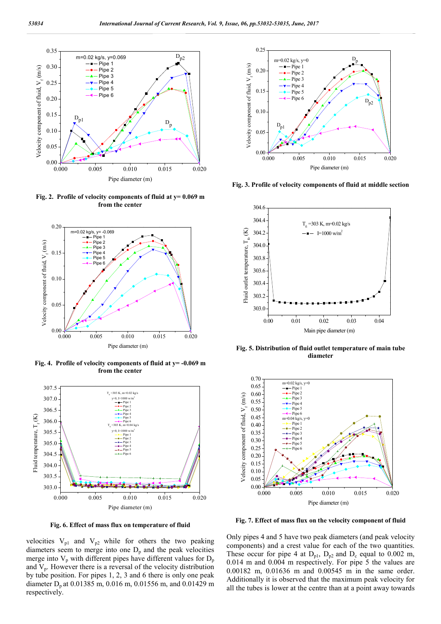

**Fig. 2. Profile of velocity components of fluid at y= 0.069 m from the center**



**Fig. 4. Profile of velocity components of fluid at y= -0.069 m from the center**



**Fig. 6. Effect of mass flux on temperature of fluid**

velocities  $V_{p1}$  and  $V_{p2}$  while for others the two peaking diameters seem to merge into one  $D_p$  and the peak velocities merge into  $V_p$  with different pipes have different values for  $D_p$ and  $V_p$ . However there is a reversal of the velocity distribution by tube position. For pipes 1, 2, 3 and 6 there is only one peak diameter  $D_n$  at 0.01385 m, 0.016 m, 0.01556 m, and 0.01429 m respectively.



**Fig. 3. Profile of velocity components of fluid at middle section**



 **Fig. 5. Distribution of fluid outlet temperature of main tube diameter**



**Fig. 7. Effect of mass flux on the velocity component of fluid**

Only pipes 4 and 5 have two peak diameters (and peak velocity components) and a crest value for each of the two quantities. These occur for pipe 4 at  $D_{p1}$ ,  $D_{p2}$  and  $D_c$  equal to 0.002 m, 0.014 m and 0.004 m respectively. For pipe 5 the values are 0.00182 m, 0.01636 m and 0.00545 m in the same order. Additionally it is observed that the maximum peak velocity for all the tubes is lower at the centre than at a point away towards